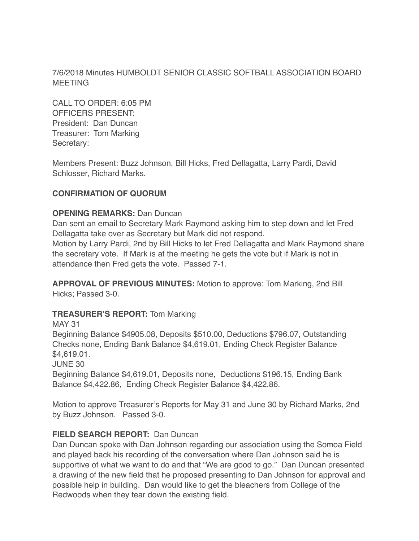7/6/2018 Minutes HUMBOLDT SENIOR CLASSIC SOFTBALL ASSOCIATION BOARD **MEETING** 

CALL TO ORDER: 6:05 PM OFFICERS PRESENT: President: Dan Duncan Treasurer: Tom Marking Secretary:

Members Present: Buzz Johnson, Bill Hicks, Fred Dellagatta, Larry Pardi, David Schlosser, Richard Marks.

# **CONFIRMATION OF QUORUM**

## **OPENING REMARKS:** Dan Duncan

Dan sent an email to Secretary Mark Raymond asking him to step down and let Fred Dellagatta take over as Secretary but Mark did not respond.

Motion by Larry Pardi, 2nd by Bill Hicks to let Fred Dellagatta and Mark Raymond share the secretary vote. If Mark is at the meeting he gets the vote but if Mark is not in attendance then Fred gets the vote. Passed 7-1.

**APPROVAL OF PREVIOUS MINUTES:** Motion to approve: Tom Marking, 2nd Bill Hicks; Passed 3-0.

## **TREASURER'S REPORT:** Tom Marking

MAY 31

Beginning Balance \$4905.08, Deposits \$510.00, Deductions \$796.07, Outstanding Checks none, Ending Bank Balance \$4,619.01, Ending Check Register Balance \$4,619.01.

JUNE 30

Beginning Balance \$4,619.01, Deposits none, Deductions \$196.15, Ending Bank Balance \$4,422.86, Ending Check Register Balance \$4,422.86.

Motion to approve Treasurer's Reports for May 31 and June 30 by Richard Marks, 2nd by Buzz Johnson. Passed 3-0.

## **FIELD SEARCH REPORT:** Dan Duncan

Dan Duncan spoke with Dan Johnson regarding our association using the Somoa Field and played back his recording of the conversation where Dan Johnson said he is supportive of what we want to do and that "We are good to go." Dan Duncan presented a drawing of the new field that he proposed presenting to Dan Johnson for approval and possible help in building. Dan would like to get the bleachers from College of the Redwoods when they tear down the existing field.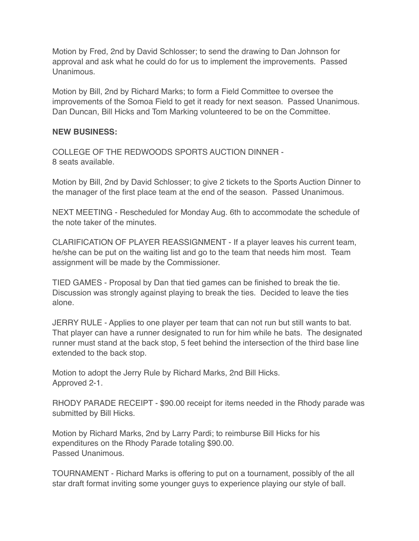Motion by Fred, 2nd by David Schlosser; to send the drawing to Dan Johnson for approval and ask what he could do for us to implement the improvements. Passed Unanimous.

Motion by Bill, 2nd by Richard Marks; to form a Field Committee to oversee the improvements of the Somoa Field to get it ready for next season. Passed Unanimous. Dan Duncan, Bill Hicks and Tom Marking volunteered to be on the Committee.

### **NEW BUSINESS:**

COLLEGE OF THE REDWOODS SPORTS AUCTION DINNER - 8 seats available.

Motion by Bill, 2nd by David Schlosser; to give 2 tickets to the Sports Auction Dinner to the manager of the first place team at the end of the season. Passed Unanimous.

NEXT MEETING - Rescheduled for Monday Aug. 6th to accommodate the schedule of the note taker of the minutes.

CLARIFICATION OF PLAYER REASSIGNMENT - If a player leaves his current team, he/she can be put on the waiting list and go to the team that needs him most. Team assignment will be made by the Commissioner.

TIED GAMES - Proposal by Dan that tied games can be finished to break the tie. Discussion was strongly against playing to break the ties. Decided to leave the ties alone.

JERRY RULE - Applies to one player per team that can not run but still wants to bat. That player can have a runner designated to run for him while he bats. The designated runner must stand at the back stop, 5 feet behind the intersection of the third base line extended to the back stop.

Motion to adopt the Jerry Rule by Richard Marks, 2nd Bill Hicks. Approved 2-1.

RHODY PARADE RECEIPT - \$90.00 receipt for items needed in the Rhody parade was submitted by Bill Hicks.

Motion by Richard Marks, 2nd by Larry Pardi; to reimburse Bill Hicks for his expenditures on the Rhody Parade totaling \$90.00. Passed Unanimous.

TOURNAMENT - Richard Marks is offering to put on a tournament, possibly of the all star draft format inviting some younger guys to experience playing our style of ball.